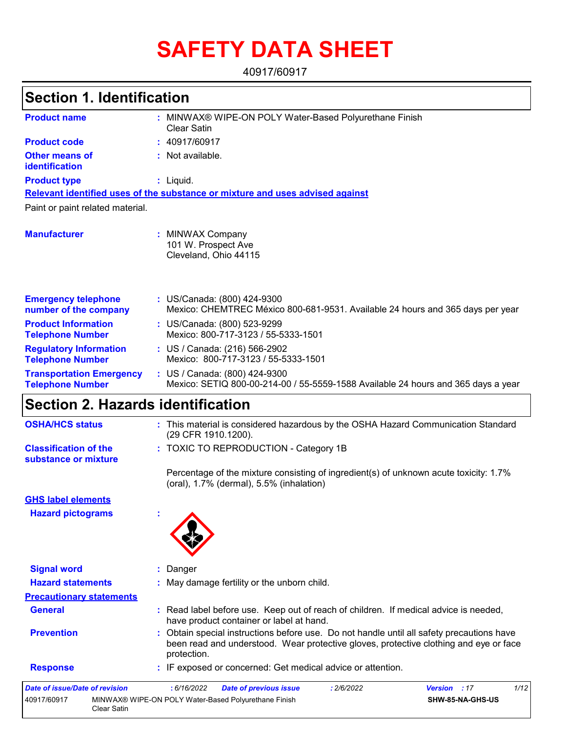# **SAFETY DATA SHEET**

40917/60917

## **Section 1. Identification**

| <b>Product name</b>                                        | MINWAX® WIPE-ON POLY Water-Based Polyurethane Finish<br><b>Clear Satin</b>                                         |  |  |  |
|------------------------------------------------------------|--------------------------------------------------------------------------------------------------------------------|--|--|--|
| <b>Product code</b>                                        | : 40917/60917                                                                                                      |  |  |  |
| <b>Other means of</b><br>identification                    | : Not available.                                                                                                   |  |  |  |
| <b>Product type</b>                                        | $:$ Liquid.                                                                                                        |  |  |  |
|                                                            | Relevant identified uses of the substance or mixture and uses advised against                                      |  |  |  |
| Paint or paint related material.                           |                                                                                                                    |  |  |  |
| <b>Manufacturer</b>                                        | <b>MINWAX Company</b><br>101 W. Prospect Ave<br>Cleveland, Ohio 44115                                              |  |  |  |
| <b>Emergency telephone</b><br>number of the company        | : US/Canada: (800) 424-9300<br>Mexico: CHEMTREC México 800-681-9531. Available 24 hours and 365 days per year      |  |  |  |
| <b>Product Information</b><br><b>Telephone Number</b>      | : US/Canada: (800) 523-9299<br>Mexico: 800-717-3123 / 55-5333-1501                                                 |  |  |  |
| <b>Regulatory Information</b><br><b>Telephone Number</b>   | : US / Canada: (216) 566-2902<br>Mexico: 800-717-3123 / 55-5333-1501                                               |  |  |  |
| <b>Transportation Emergency</b><br><b>Telephone Number</b> | : US / Canada: (800) 424-9300<br>Mexico: SETIQ 800-00-214-00 / 55-5559-1588 Available 24 hours and 365 days a year |  |  |  |

# **Section 2. Hazards identification**

Clear Satin

| <b>OSHA/HCS status</b>                               | : This material is considered hazardous by the OSHA Hazard Communication Standard<br>(29 CFR 1910.1200).                                                                                        |
|------------------------------------------------------|-------------------------------------------------------------------------------------------------------------------------------------------------------------------------------------------------|
| <b>Classification of the</b><br>substance or mixture | : TOXIC TO REPRODUCTION - Category 1B                                                                                                                                                           |
|                                                      | Percentage of the mixture consisting of ingredient(s) of unknown acute toxicity: 1.7%<br>(oral), 1.7% (dermal), 5.5% (inhalation)                                                               |
| <b>GHS label elements</b>                            |                                                                                                                                                                                                 |
| <b>Hazard pictograms</b>                             |                                                                                                                                                                                                 |
| <b>Signal word</b>                                   | : Danger                                                                                                                                                                                        |
| <b>Hazard statements</b>                             | : May damage fertility or the unborn child.                                                                                                                                                     |
| <b>Precautionary statements</b>                      |                                                                                                                                                                                                 |
| <b>General</b>                                       | : Read label before use. Keep out of reach of children. If medical advice is needed,<br>have product container or label at hand.                                                                |
| <b>Prevention</b>                                    | Obtain special instructions before use. Do not handle until all safety precautions have<br>been read and understood. Wear protective gloves, protective clothing and eye or face<br>protection. |
| <b>Response</b>                                      | : IF exposed or concerned: Get medical advice or attention.                                                                                                                                     |
| <b>Date of issue/Date of revision</b>                | 1/12<br>: 6/16/2022<br><b>Date of previous issue</b><br>: 2/6/2022<br><b>Version</b><br>:17                                                                                                     |
| 40917/60917                                          | MINWAX® WIPE-ON POLY Water-Based Polyurethane Finish<br>SHW-85-NA-GHS-US                                                                                                                        |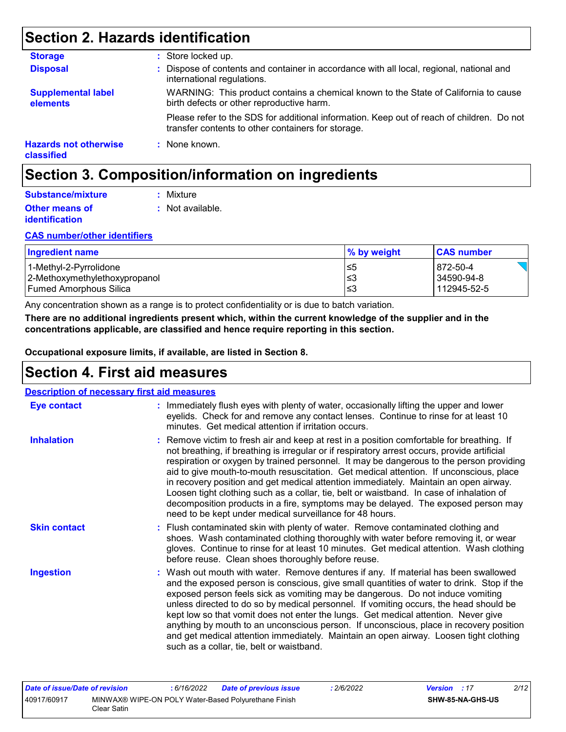## **Section 2. Hazards identification**

| <b>Storage</b>                             | : Store locked up.                                                                                                                              |
|--------------------------------------------|-------------------------------------------------------------------------------------------------------------------------------------------------|
| <b>Disposal</b>                            | : Dispose of contents and container in accordance with all local, regional, national and<br>international regulations.                          |
| <b>Supplemental label</b><br>elements      | WARNING: This product contains a chemical known to the State of California to cause<br>birth defects or other reproductive harm.                |
|                                            | Please refer to the SDS for additional information. Keep out of reach of children. Do not<br>transfer contents to other containers for storage. |
| <b>Hazards not otherwise</b><br>classified | : None known.                                                                                                                                   |

## **Section 3. Composition/information on ingredients**

| Substance/mixture     | : Mixture        |
|-----------------------|------------------|
| <b>Other means of</b> | : Not available. |
| <i>identification</i> |                  |

#### **CAS number/other identifiers**

| <b>Ingredient name</b>        | % by weight | <b>CAS number</b> |
|-------------------------------|-------------|-------------------|
| 1-Methyl-2-Pyrrolidone        | ≤5          | 872-50-4          |
| 2-Methoxymethylethoxypropanol | '≤3         | 34590-94-8        |
| Fumed Amorphous Silica        | '≤3         | 112945-52-5       |

Any concentration shown as a range is to protect confidentiality or is due to batch variation.

**There are no additional ingredients present which, within the current knowledge of the supplier and in the concentrations applicable, are classified and hence require reporting in this section.**

**Occupational exposure limits, if available, are listed in Section 8.**

## **Section 4. First aid measures**

| <b>Description of necessary first aid measures</b> |                                                                                                                                                                                                                                                                                                                                                                                                                                                                                                                                                                                                                                                                                                                     |
|----------------------------------------------------|---------------------------------------------------------------------------------------------------------------------------------------------------------------------------------------------------------------------------------------------------------------------------------------------------------------------------------------------------------------------------------------------------------------------------------------------------------------------------------------------------------------------------------------------------------------------------------------------------------------------------------------------------------------------------------------------------------------------|
| <b>Eye contact</b>                                 | : Immediately flush eyes with plenty of water, occasionally lifting the upper and lower<br>eyelids. Check for and remove any contact lenses. Continue to rinse for at least 10<br>minutes. Get medical attention if irritation occurs.                                                                                                                                                                                                                                                                                                                                                                                                                                                                              |
| <b>Inhalation</b>                                  | : Remove victim to fresh air and keep at rest in a position comfortable for breathing. If<br>not breathing, if breathing is irregular or if respiratory arrest occurs, provide artificial<br>respiration or oxygen by trained personnel. It may be dangerous to the person providing<br>aid to give mouth-to-mouth resuscitation. Get medical attention. If unconscious, place<br>in recovery position and get medical attention immediately. Maintain an open airway.<br>Loosen tight clothing such as a collar, tie, belt or waistband. In case of inhalation of<br>decomposition products in a fire, symptoms may be delayed. The exposed person may<br>need to be kept under medical surveillance for 48 hours. |
| <b>Skin contact</b>                                | : Flush contaminated skin with plenty of water. Remove contaminated clothing and<br>shoes. Wash contaminated clothing thoroughly with water before removing it, or wear<br>gloves. Continue to rinse for at least 10 minutes. Get medical attention. Wash clothing<br>before reuse. Clean shoes thoroughly before reuse.                                                                                                                                                                                                                                                                                                                                                                                            |
| <b>Ingestion</b>                                   | : Wash out mouth with water. Remove dentures if any. If material has been swallowed<br>and the exposed person is conscious, give small quantities of water to drink. Stop if the<br>exposed person feels sick as vomiting may be dangerous. Do not induce vomiting<br>unless directed to do so by medical personnel. If vomiting occurs, the head should be<br>kept low so that vomit does not enter the lungs. Get medical attention. Never give<br>anything by mouth to an unconscious person. If unconscious, place in recovery position<br>and get medical attention immediately. Maintain an open airway. Loosen tight clothing<br>such as a collar, tie, belt or waistband.                                   |

| Date of issue/Date of revision |             | 6/16/2022 | Date of previous issue                               | 2/6/2022 | <b>Version</b> : 17 |                  | 2/12 |
|--------------------------------|-------------|-----------|------------------------------------------------------|----------|---------------------|------------------|------|
| 40917/60917                    | Clear Satin |           | MINWAX® WIPE-ON POLY Water-Based Polyurethane Finish |          |                     | SHW-85-NA-GHS-US |      |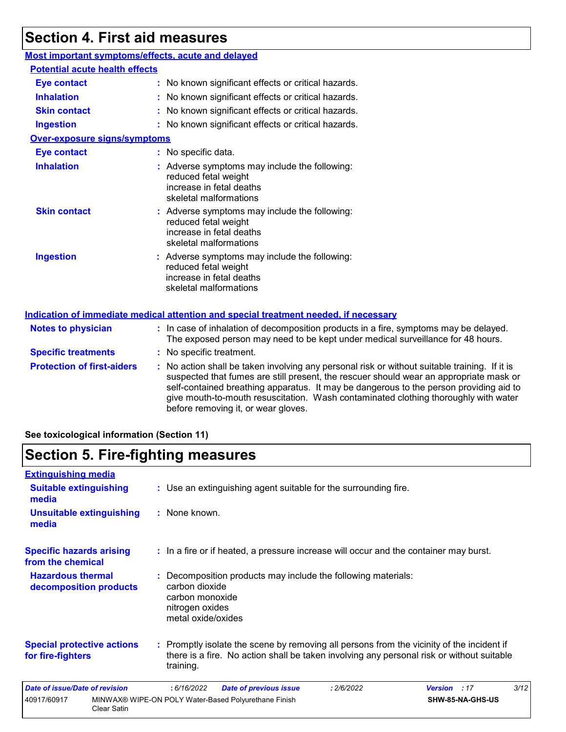## **Section 4. First aid measures**

### **Most important symptoms/effects, acute and delayed**

| <b>Potential acute health effects</b> |                                                                                                                             |
|---------------------------------------|-----------------------------------------------------------------------------------------------------------------------------|
| <b>Eye contact</b>                    | : No known significant effects or critical hazards.                                                                         |
| <b>Inhalation</b>                     | : No known significant effects or critical hazards.                                                                         |
| <b>Skin contact</b>                   | : No known significant effects or critical hazards.                                                                         |
| <b>Ingestion</b>                      | : No known significant effects or critical hazards.                                                                         |
| <b>Over-exposure signs/symptoms</b>   |                                                                                                                             |
| <b>Eye contact</b>                    | : No specific data.                                                                                                         |
| <b>Inhalation</b>                     | : Adverse symptoms may include the following:<br>reduced fetal weight<br>increase in fetal deaths<br>skeletal malformations |
| <b>Skin contact</b>                   | : Adverse symptoms may include the following:<br>reduced fetal weight<br>increase in fetal deaths<br>skeletal malformations |
| <b>Ingestion</b>                      | : Adverse symptoms may include the following:<br>reduced fetal weight<br>increase in fetal deaths<br>skeletal malformations |
|                                       | <u>Indication of immediate medical attention and special treatment needed, if necessary</u>                                 |

| <b>Notes to physician</b>         | : In case of inhalation of decomposition products in a fire, symptoms may be delayed.<br>The exposed person may need to be kept under medical surveillance for 48 hours.                                                                                                                                                                                                                                        |
|-----------------------------------|-----------------------------------------------------------------------------------------------------------------------------------------------------------------------------------------------------------------------------------------------------------------------------------------------------------------------------------------------------------------------------------------------------------------|
| <b>Specific treatments</b>        | : No specific treatment.                                                                                                                                                                                                                                                                                                                                                                                        |
| <b>Protection of first-aiders</b> | : No action shall be taken involving any personal risk or without suitable training. If it is<br>suspected that fumes are still present, the rescuer should wear an appropriate mask or<br>self-contained breathing apparatus. It may be dangerous to the person providing aid to<br>give mouth-to-mouth resuscitation. Wash contaminated clothing thoroughly with water<br>before removing it, or wear gloves. |

### **See toxicological information (Section 11)**

## **Section 5. Fire-fighting measures**

| <b>Extinguishing media</b>                             |                    |                                                                            |                                                                                                                                                                                        |            |                     |                  |      |
|--------------------------------------------------------|--------------------|----------------------------------------------------------------------------|----------------------------------------------------------------------------------------------------------------------------------------------------------------------------------------|------------|---------------------|------------------|------|
| <b>Suitable extinguishing</b><br>media                 |                    |                                                                            | : Use an extinguishing agent suitable for the surrounding fire.                                                                                                                        |            |                     |                  |      |
| Unsuitable extinguishing<br>media                      |                    | : None known.                                                              |                                                                                                                                                                                        |            |                     |                  |      |
| <b>Specific hazards arising</b><br>from the chemical   |                    |                                                                            | : In a fire or if heated, a pressure increase will occur and the container may burst.                                                                                                  |            |                     |                  |      |
| <b>Hazardous thermal</b><br>decomposition products     |                    | carbon dioxide<br>carbon monoxide<br>nitrogen oxides<br>metal oxide/oxides | : Decomposition products may include the following materials:                                                                                                                          |            |                     |                  |      |
| <b>Special protective actions</b><br>for fire-fighters |                    | training.                                                                  | : Promptly isolate the scene by removing all persons from the vicinity of the incident if<br>there is a fire. No action shall be taken involving any personal risk or without suitable |            |                     |                  |      |
| <b>Date of issue/Date of revision</b>                  |                    | :6/16/2022                                                                 | <b>Date of previous issue</b>                                                                                                                                                          | : 2/6/2022 | <b>Version</b> : 17 |                  | 3/12 |
| 40917/60917                                            | <b>Clear Satin</b> |                                                                            | MINWAX® WIPE-ON POLY Water-Based Polyurethane Finish                                                                                                                                   |            |                     | SHW-85-NA-GHS-US |      |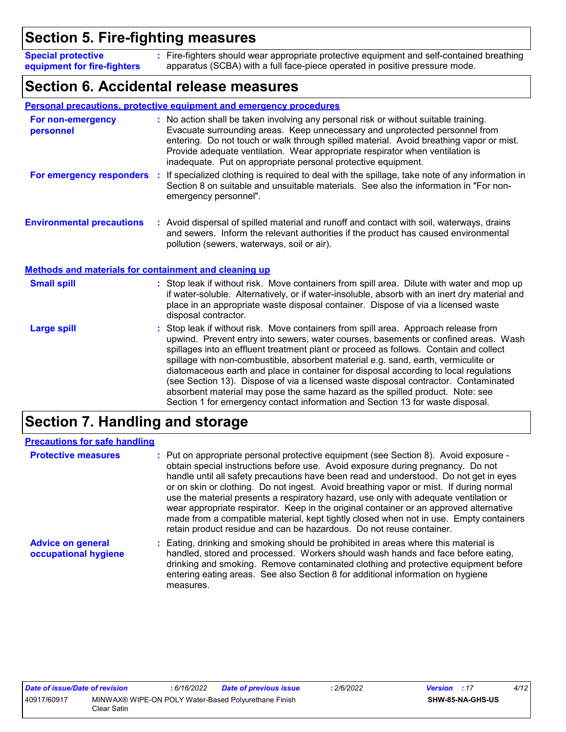## **Section 5. Fire-fighting measures**

Fire-fighters should wear appropriate protective equipment and self-contained breathing **:** apparatus (SCBA) with a full face-piece operated in positive pressure mode. **Special protective equipment for fire-fighters**

## **Section 6. Accidental release measures**

|                                                              | Personal precautions, protective equipment and emergency procedures                                                                                                                                                                                                                                                                                                                                                                                                                                                                                                                                                                                                                                        |
|--------------------------------------------------------------|------------------------------------------------------------------------------------------------------------------------------------------------------------------------------------------------------------------------------------------------------------------------------------------------------------------------------------------------------------------------------------------------------------------------------------------------------------------------------------------------------------------------------------------------------------------------------------------------------------------------------------------------------------------------------------------------------------|
| For non-emergency<br>personnel                               | : No action shall be taken involving any personal risk or without suitable training.<br>Evacuate surrounding areas. Keep unnecessary and unprotected personnel from<br>entering. Do not touch or walk through spilled material. Avoid breathing vapor or mist.<br>Provide adequate ventilation. Wear appropriate respirator when ventilation is<br>inadequate. Put on appropriate personal protective equipment.                                                                                                                                                                                                                                                                                           |
| For emergency responders                                     | If specialized clothing is required to deal with the spillage, take note of any information in<br>÷.<br>Section 8 on suitable and unsuitable materials. See also the information in "For non-<br>emergency personnel".                                                                                                                                                                                                                                                                                                                                                                                                                                                                                     |
| <b>Environmental precautions</b>                             | : Avoid dispersal of spilled material and runoff and contact with soil, waterways, drains<br>and sewers. Inform the relevant authorities if the product has caused environmental<br>pollution (sewers, waterways, soil or air).                                                                                                                                                                                                                                                                                                                                                                                                                                                                            |
| <b>Methods and materials for containment and cleaning up</b> |                                                                                                                                                                                                                                                                                                                                                                                                                                                                                                                                                                                                                                                                                                            |
| <b>Small spill</b>                                           | : Stop leak if without risk. Move containers from spill area. Dilute with water and mop up<br>if water-soluble. Alternatively, or if water-insoluble, absorb with an inert dry material and<br>place in an appropriate waste disposal container. Dispose of via a licensed waste<br>disposal contractor.                                                                                                                                                                                                                                                                                                                                                                                                   |
| <b>Large spill</b>                                           | Stop leak if without risk. Move containers from spill area. Approach release from<br>upwind. Prevent entry into sewers, water courses, basements or confined areas. Wash<br>spillages into an effluent treatment plant or proceed as follows. Contain and collect<br>spillage with non-combustible, absorbent material e.g. sand, earth, vermiculite or<br>diatomaceous earth and place in container for disposal according to local regulations<br>(see Section 13). Dispose of via a licensed waste disposal contractor. Contaminated<br>absorbent material may pose the same hazard as the spilled product. Note: see<br>Section 1 for emergency contact information and Section 13 for waste disposal. |

## **Section 7. Handling and storage**

| <b>Precautions for safe handling</b>             |                                                                                                                                                                                                                                                                                                                                                                                                                                                                                                                                                                                                                                                                                                                 |
|--------------------------------------------------|-----------------------------------------------------------------------------------------------------------------------------------------------------------------------------------------------------------------------------------------------------------------------------------------------------------------------------------------------------------------------------------------------------------------------------------------------------------------------------------------------------------------------------------------------------------------------------------------------------------------------------------------------------------------------------------------------------------------|
| <b>Protective measures</b>                       | : Put on appropriate personal protective equipment (see Section 8). Avoid exposure -<br>obtain special instructions before use. Avoid exposure during pregnancy. Do not<br>handle until all safety precautions have been read and understood. Do not get in eyes<br>or on skin or clothing. Do not ingest. Avoid breathing vapor or mist. If during normal<br>use the material presents a respiratory hazard, use only with adequate ventilation or<br>wear appropriate respirator. Keep in the original container or an approved alternative<br>made from a compatible material, kept tightly closed when not in use. Empty containers<br>retain product residue and can be hazardous. Do not reuse container. |
| <b>Advice on general</b><br>occupational hygiene | : Eating, drinking and smoking should be prohibited in areas where this material is<br>handled, stored and processed. Workers should wash hands and face before eating,<br>drinking and smoking. Remove contaminated clothing and protective equipment before<br>entering eating areas. See also Section 8 for additional information on hygiene<br>measures.                                                                                                                                                                                                                                                                                                                                                   |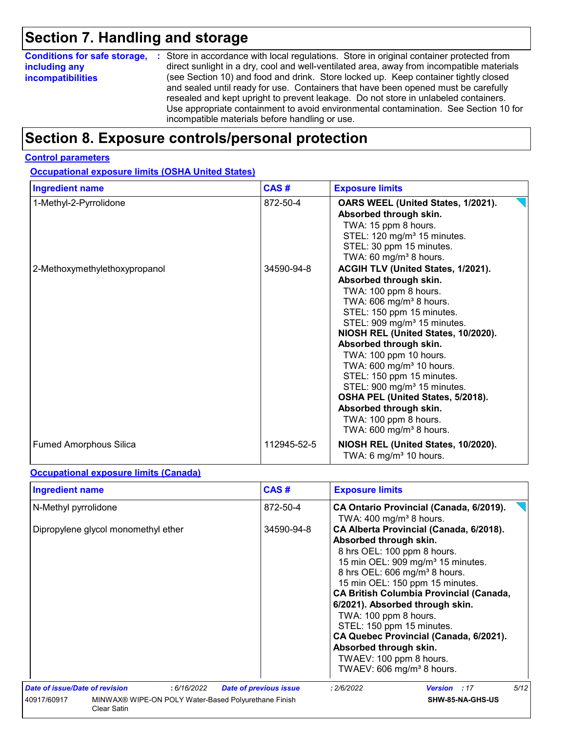# **Section 7. Handling and storage**

|                          | <b>Conditions for safe storage, :</b> Store in accordance with local regulations. Store in original container protected from                                                                                                                                                                                                                                                                               |
|--------------------------|------------------------------------------------------------------------------------------------------------------------------------------------------------------------------------------------------------------------------------------------------------------------------------------------------------------------------------------------------------------------------------------------------------|
| including any            | direct sunlight in a dry, cool and well-ventilated area, away from incompatible materials                                                                                                                                                                                                                                                                                                                  |
| <b>incompatibilities</b> | (see Section 10) and food and drink. Store locked up. Keep container tightly closed<br>and sealed until ready for use. Containers that have been opened must be carefully<br>resealed and kept upright to prevent leakage. Do not store in unlabeled containers.<br>Use appropriate containment to avoid environmental contamination. See Section 10 for<br>incompatible materials before handling or use. |

## **Section 8. Exposure controls/personal protection**

#### **Control parameters**

**Occupational exposure limits (OSHA United States)**

| <b>Ingredient name</b>        | CAS#        | <b>Exposure limits</b>                                                                                                                                                                                                                                                                                                                                                                                                                                                                                                                         |  |  |
|-------------------------------|-------------|------------------------------------------------------------------------------------------------------------------------------------------------------------------------------------------------------------------------------------------------------------------------------------------------------------------------------------------------------------------------------------------------------------------------------------------------------------------------------------------------------------------------------------------------|--|--|
| 1-Methyl-2-Pyrrolidone        | 872-50-4    | OARS WEEL (United States, 1/2021).<br>Absorbed through skin.<br>TWA: 15 ppm 8 hours.<br>STEL: 120 mg/m <sup>3</sup> 15 minutes.<br>STEL: 30 ppm 15 minutes.<br>TWA: 60 mg/m <sup>3</sup> 8 hours.                                                                                                                                                                                                                                                                                                                                              |  |  |
| 2-Methoxymethylethoxypropanol | 34590-94-8  | ACGIH TLV (United States, 1/2021).<br>Absorbed through skin.<br>TWA: 100 ppm 8 hours.<br>TWA: 606 mg/m <sup>3</sup> 8 hours.<br>STEL: 150 ppm 15 minutes.<br>STEL: 909 mg/m <sup>3</sup> 15 minutes.<br>NIOSH REL (United States, 10/2020).<br>Absorbed through skin.<br>TWA: 100 ppm 10 hours.<br>TWA: 600 mg/m <sup>3</sup> 10 hours.<br>STEL: 150 ppm 15 minutes.<br>STEL: 900 mg/m <sup>3</sup> 15 minutes.<br>OSHA PEL (United States, 5/2018).<br>Absorbed through skin.<br>TWA: 100 ppm 8 hours.<br>TWA: 600 mg/m <sup>3</sup> 8 hours. |  |  |
| <b>Fumed Amorphous Silica</b> | 112945-52-5 | NIOSH REL (United States, 10/2020).<br>TWA: 6 mg/m <sup>3</sup> 10 hours.                                                                                                                                                                                                                                                                                                                                                                                                                                                                      |  |  |

#### **Occupational exposure limits (Canada)**

| <b>Ingredient name</b>              |                                                      | CAS#                          | <b>Exposure limits</b>                                                                                                                                                                                                                                                                                                                                                                                                                                                                                               |
|-------------------------------------|------------------------------------------------------|-------------------------------|----------------------------------------------------------------------------------------------------------------------------------------------------------------------------------------------------------------------------------------------------------------------------------------------------------------------------------------------------------------------------------------------------------------------------------------------------------------------------------------------------------------------|
| N-Methyl pyrrolidone                |                                                      | 872-50-4                      | CA Ontario Provincial (Canada, 6/2019).<br>TWA: $400 \text{ mg/m}^3$ 8 hours.                                                                                                                                                                                                                                                                                                                                                                                                                                        |
| Dipropylene glycol monomethyl ether |                                                      | 34590-94-8                    | CA Alberta Provincial (Canada, 6/2018).<br>Absorbed through skin.<br>8 hrs OEL: 100 ppm 8 hours.<br>15 min OEL: 909 mg/m <sup>3</sup> 15 minutes.<br>8 hrs OEL: 606 mg/m <sup>3</sup> 8 hours.<br>15 min OEL: 150 ppm 15 minutes.<br><b>CA British Columbia Provincial (Canada,</b><br>6/2021). Absorbed through skin.<br>TWA: 100 ppm 8 hours.<br>STEL: 150 ppm 15 minutes.<br>CA Quebec Provincial (Canada, 6/2021).<br>Absorbed through skin.<br>TWAEV: 100 ppm 8 hours.<br>TWAEV: 606 mg/m <sup>3</sup> 8 hours. |
| Date of issue/Date of revision      | : 6/16/2022                                          | <b>Date of previous issue</b> | 5/12<br>: 2/6/2022<br><b>Version</b> : 17                                                                                                                                                                                                                                                                                                                                                                                                                                                                            |
| 40917/60917<br><b>Clear Satin</b>   | MINWAX® WIPE-ON POLY Water-Based Polyurethane Finish |                               | SHW-85-NA-GHS-US                                                                                                                                                                                                                                                                                                                                                                                                                                                                                                     |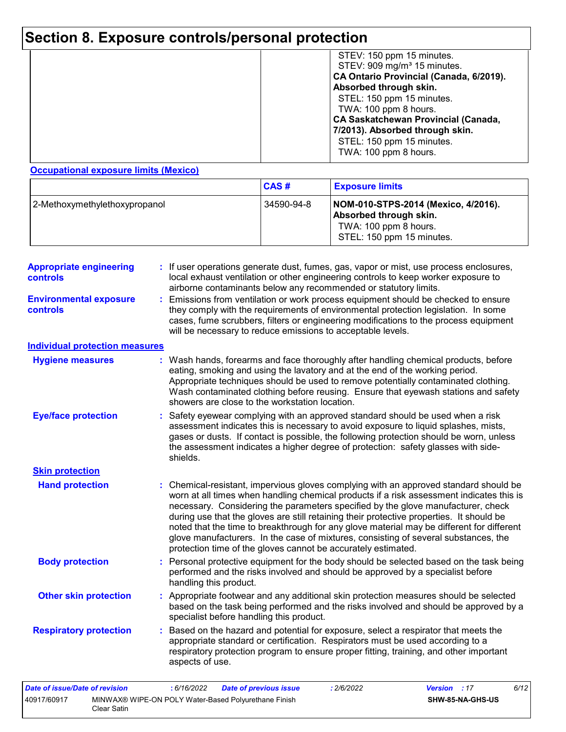# **Section 8. Exposure controls/personal protection**

|  | STEV: 150 ppm 15 minutes.<br>STEV: 909 mg/m <sup>3</sup> 15 minutes.<br>CA Ontario Provincial (Canada, 6/2019).<br>Absorbed through skin.<br>STEL: 150 ppm 15 minutes.<br>TWA: 100 ppm 8 hours.<br><b>CA Saskatchewan Provincial (Canada,</b><br>7/2013). Absorbed through skin.<br>STEL: 150 ppm 15 minutes.<br>TWA: 100 ppm 8 hours. |
|--|----------------------------------------------------------------------------------------------------------------------------------------------------------------------------------------------------------------------------------------------------------------------------------------------------------------------------------------|
|--|----------------------------------------------------------------------------------------------------------------------------------------------------------------------------------------------------------------------------------------------------------------------------------------------------------------------------------------|

#### **Occupational exposure limits (Mexico)**

Clear Satin

|                               | <b>CAS#</b> | <b>Exposure limits</b>                                                                                              |
|-------------------------------|-------------|---------------------------------------------------------------------------------------------------------------------|
| 2-Methoxymethylethoxypropanol | 34590-94-8  | NOM-010-STPS-2014 (Mexico, 4/2016).<br>Absorbed through skin.<br>TWA: 100 ppm 8 hours.<br>STEL: 150 ppm 15 minutes. |

| <b>Appropriate engineering</b><br>controls | : If user operations generate dust, fumes, gas, vapor or mist, use process enclosures,<br>local exhaust ventilation or other engineering controls to keep worker exposure to<br>airborne contaminants below any recommended or statutory limits.                                                                                                                                                                                                                                                                                                                                                                       |  |  |  |  |  |
|--------------------------------------------|------------------------------------------------------------------------------------------------------------------------------------------------------------------------------------------------------------------------------------------------------------------------------------------------------------------------------------------------------------------------------------------------------------------------------------------------------------------------------------------------------------------------------------------------------------------------------------------------------------------------|--|--|--|--|--|
| <b>Environmental exposure</b><br>controls  | : Emissions from ventilation or work process equipment should be checked to ensure<br>they comply with the requirements of environmental protection legislation. In some<br>cases, fume scrubbers, filters or engineering modifications to the process equipment<br>will be necessary to reduce emissions to acceptable levels.                                                                                                                                                                                                                                                                                        |  |  |  |  |  |
| <b>Individual protection measures</b>      |                                                                                                                                                                                                                                                                                                                                                                                                                                                                                                                                                                                                                        |  |  |  |  |  |
| <b>Hygiene measures</b>                    | : Wash hands, forearms and face thoroughly after handling chemical products, before<br>eating, smoking and using the lavatory and at the end of the working period.<br>Appropriate techniques should be used to remove potentially contaminated clothing.<br>Wash contaminated clothing before reusing. Ensure that eyewash stations and safety<br>showers are close to the workstation location.                                                                                                                                                                                                                      |  |  |  |  |  |
| <b>Eye/face protection</b>                 | : Safety eyewear complying with an approved standard should be used when a risk<br>assessment indicates this is necessary to avoid exposure to liquid splashes, mists,<br>gases or dusts. If contact is possible, the following protection should be worn, unless<br>the assessment indicates a higher degree of protection: safety glasses with side-<br>shields.                                                                                                                                                                                                                                                     |  |  |  |  |  |
| <b>Skin protection</b>                     |                                                                                                                                                                                                                                                                                                                                                                                                                                                                                                                                                                                                                        |  |  |  |  |  |
| <b>Hand protection</b>                     | : Chemical-resistant, impervious gloves complying with an approved standard should be<br>worn at all times when handling chemical products if a risk assessment indicates this is<br>necessary. Considering the parameters specified by the glove manufacturer, check<br>during use that the gloves are still retaining their protective properties. It should be<br>noted that the time to breakthrough for any glove material may be different for different<br>glove manufacturers. In the case of mixtures, consisting of several substances, the<br>protection time of the gloves cannot be accurately estimated. |  |  |  |  |  |
| <b>Body protection</b>                     | : Personal protective equipment for the body should be selected based on the task being<br>performed and the risks involved and should be approved by a specialist before<br>handling this product.                                                                                                                                                                                                                                                                                                                                                                                                                    |  |  |  |  |  |
| <b>Other skin protection</b>               | : Appropriate footwear and any additional skin protection measures should be selected<br>based on the task being performed and the risks involved and should be approved by a<br>specialist before handling this product.                                                                                                                                                                                                                                                                                                                                                                                              |  |  |  |  |  |
| <b>Respiratory protection</b>              | : Based on the hazard and potential for exposure, select a respirator that meets the<br>appropriate standard or certification. Respirators must be used according to a<br>respiratory protection program to ensure proper fitting, training, and other important<br>aspects of use.                                                                                                                                                                                                                                                                                                                                    |  |  |  |  |  |
| <b>Date of issue/Date of revision</b>      | :6/16/2022<br>: 2/6/2022<br>Version : 17<br>6/12<br><b>Date of previous issue</b>                                                                                                                                                                                                                                                                                                                                                                                                                                                                                                                                      |  |  |  |  |  |
| 40917/60917                                | MINWAX® WIPE-ON POLY Water-Based Polyurethane Finish<br>SHW-85-NA-GHS-US                                                                                                                                                                                                                                                                                                                                                                                                                                                                                                                                               |  |  |  |  |  |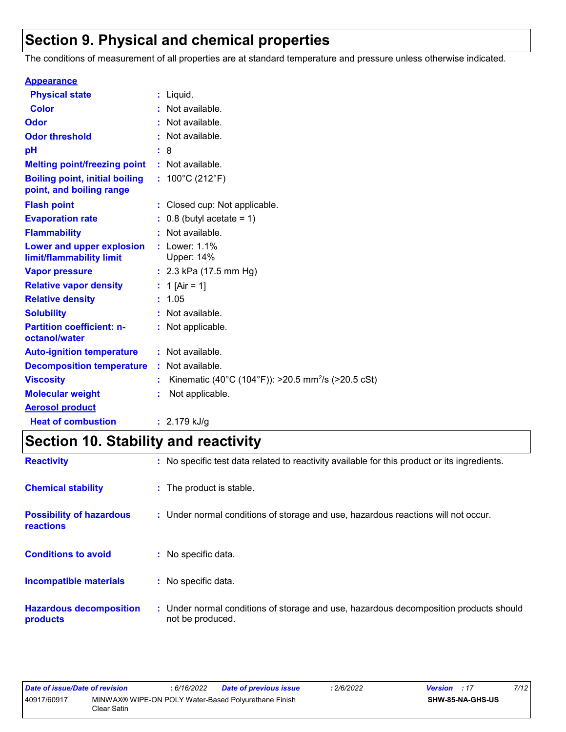## **Section 9. Physical and chemical properties**

The conditions of measurement of all properties are at standard temperature and pressure unless otherwise indicated.

| <b>Appearance</b>                                                 |                                                                |
|-------------------------------------------------------------------|----------------------------------------------------------------|
| <b>Physical state</b>                                             | $:$ Liquid.                                                    |
| <b>Color</b>                                                      | : Not available.                                               |
| Odor                                                              | : Not available.                                               |
| <b>Odor threshold</b>                                             | : Not available.                                               |
| рH                                                                | : 8                                                            |
| <b>Melting point/freezing point</b>                               | : Not available.                                               |
| <b>Boiling point, initial boiling</b><br>point, and boiling range | : $100^{\circ}$ C (212 $^{\circ}$ F)                           |
| <b>Flash point</b>                                                | : Closed cup: Not applicable.                                  |
| <b>Evaporation rate</b>                                           | $: 0.8$ (butyl acetate = 1)                                    |
| <b>Flammability</b>                                               | : Not available.                                               |
| Lower and upper explosion<br>limit/flammability limit             | : Lower: $1.1\%$<br><b>Upper: 14%</b>                          |
| <b>Vapor pressure</b>                                             | : $2.3$ kPa (17.5 mm Hg)                                       |
| <b>Relative vapor density</b>                                     | : 1 [Air = 1]                                                  |
| <b>Relative density</b>                                           | : 1.05                                                         |
| <b>Solubility</b>                                                 | : Not available.                                               |
| <b>Partition coefficient: n-</b><br>octanol/water                 | : Not applicable.                                              |
| <b>Auto-ignition temperature</b>                                  | : Not available.                                               |
| <b>Decomposition temperature</b>                                  | : Not available.                                               |
| <b>Viscosity</b>                                                  | Kinematic (40°C (104°F)): >20.5 mm <sup>2</sup> /s (>20.5 cSt) |
| <b>Molecular weight</b>                                           | Not applicable.                                                |
| <b>Aerosol product</b>                                            |                                                                |
| <b>Heat of combustion</b>                                         | $: 2.179$ kJ/g                                                 |

# **Section 10. Stability and reactivity**

| <b>Reactivity</b>                            | : No specific test data related to reactivity available for this product or its ingredients.              |
|----------------------------------------------|-----------------------------------------------------------------------------------------------------------|
| <b>Chemical stability</b>                    | : The product is stable.                                                                                  |
| <b>Possibility of hazardous</b><br>reactions | : Under normal conditions of storage and use, hazardous reactions will not occur.                         |
| <b>Conditions to avoid</b>                   | : No specific data.                                                                                       |
| <b>Incompatible materials</b>                | : No specific data.                                                                                       |
| <b>Hazardous decomposition</b><br>products   | : Under normal conditions of storage and use, hazardous decomposition products should<br>not be produced. |

| Date of issue/Date of revision |             | : 6/16/2022 | <b>Date of previous issue</b>                        | 2/6/2022 | <b>Version</b> : 17     | 7/12 |
|--------------------------------|-------------|-------------|------------------------------------------------------|----------|-------------------------|------|
| 40917/60917                    | Clear Satin |             | MINWAX® WIPE-ON POLY Water-Based Polyurethane Finish |          | <b>SHW-85-NA-GHS-US</b> |      |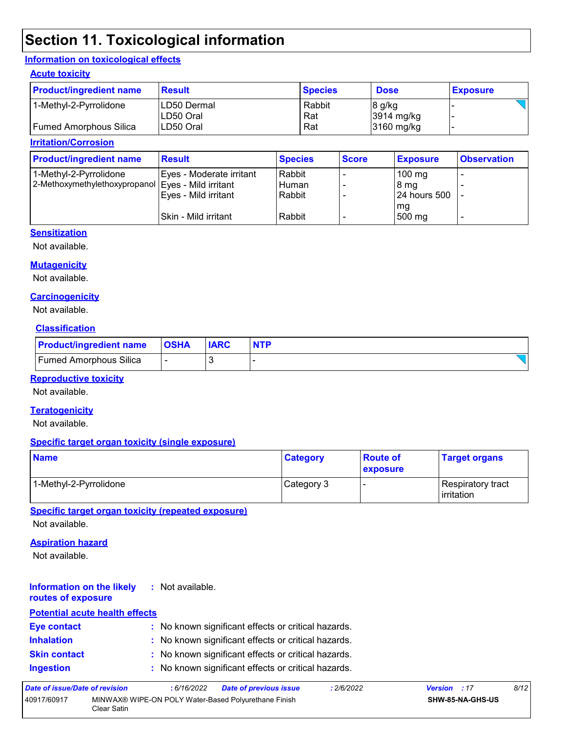## **Section 11. Toxicological information**

#### **Information on toxicological effects**

#### **Acute toxicity**

| <b>Product/ingredient name</b> | <b>Result</b> | <b>Species</b> | <b>Dose</b>          | <b>Exposure</b> |
|--------------------------------|---------------|----------------|----------------------|-----------------|
| 1-Methyl-2-Pyrrolidone         | LD50 Dermal   | Rabbit         | 8 g/kg               |                 |
|                                | LD50 Oral     | Rat            | $3914 \text{ mg/kg}$ |                 |
| Fumed Amorphous Silica         | ILD50 Oral    | Rat            | 3160 mg/kg           |                 |

#### **Irritation/Corrosion**

| <b>Product/ingredient name</b>                     | <b>Result</b>            | <b>Species</b> | <b>Score</b> | <b>Exposure</b>  | <b>Observation</b> |
|----------------------------------------------------|--------------------------|----------------|--------------|------------------|--------------------|
| 1-Methyl-2-Pyrrolidone                             | Eyes - Moderate irritant | Rabbit         |              | $100 \text{ mg}$ |                    |
| 2-Methoxymethylethoxypropanol Eyes - Mild irritant |                          | Human          |              | 8 mg             |                    |
|                                                    | Eyes - Mild irritant     | Rabbit         |              | 124 hours 500    |                    |
|                                                    |                          |                |              | mg               |                    |
|                                                    | ISkin - Mild irritant    | Rabbit         |              | 500 mg           | -                  |

#### **Sensitization**

Not available.

#### **Mutagenicity**

Not available.

#### **Carcinogenicity**

Not available.

#### **Classification**

| <b>Product/ingredient name</b> | <b>OSHA</b> | <b>IARC</b> |  |
|--------------------------------|-------------|-------------|--|
| <b>Fumed Amorphous Silica</b>  |             |             |  |

#### **Reproductive toxicity**

Not available.

#### **Teratogenicity**

Not available.

#### **Specific target organ toxicity (single exposure)**

| <b>Name</b>            | <b>Category</b> | <b>Route of</b><br><b>exposure</b> | <b>Target organs</b>                     |
|------------------------|-----------------|------------------------------------|------------------------------------------|
| 1-Methyl-2-Pyrrolidone | Category 3      |                                    | Respiratory tract<br><b>l</b> irritation |

**Specific target organ toxicity (repeated exposure)**

Not available.

#### **Aspiration hazard**

Not available.

#### **Information on the likely routes of exposure :** Not available.

### **Inhalation :** No known significant effects or critical hazards. **Ingestion :** No known significant effects or critical hazards. **Skin contact :** No known significant effects or critical hazards. **Eye contact :** No known significant effects or critical hazards. **Potential acute health effects**

| Date of issue/Date of revision |             | : 6/16/2022 | <b>Date of previous issue</b>                        | : 2/6/2022 | <b>Version</b> : 17 |                         | 8/12 |
|--------------------------------|-------------|-------------|------------------------------------------------------|------------|---------------------|-------------------------|------|
| 40917/60917                    | Clear Satin |             | MINWAX® WIPE-ON POLY Water-Based Polyurethane Finish |            |                     | <b>SHW-85-NA-GHS-US</b> |      |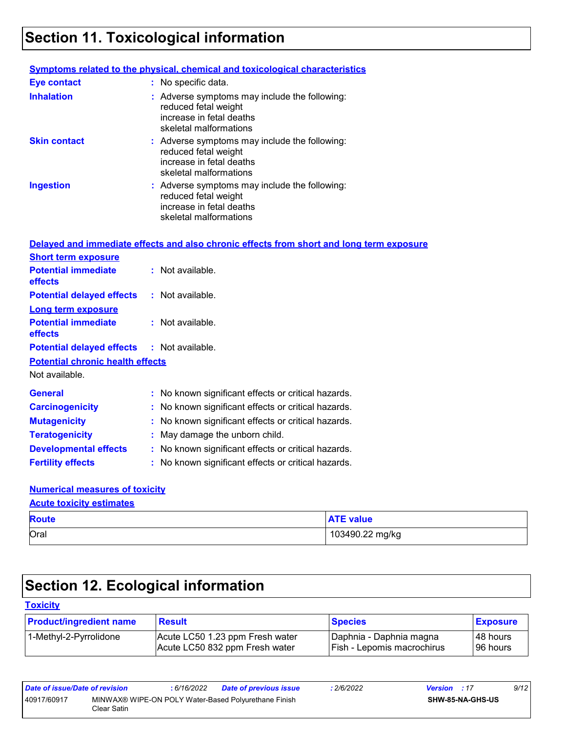# **Section 11. Toxicological information**

|                     | <b>Symptoms related to the physical, chemical and toxicological characteristics</b>                                         |
|---------------------|-----------------------------------------------------------------------------------------------------------------------------|
| <b>Eye contact</b>  | : No specific data.                                                                                                         |
| <b>Inhalation</b>   | : Adverse symptoms may include the following:<br>reduced fetal weight<br>increase in fetal deaths<br>skeletal malformations |
| <b>Skin contact</b> | : Adverse symptoms may include the following:<br>reduced fetal weight<br>increase in fetal deaths<br>skeletal malformations |
| <b>Ingestion</b>    | : Adverse symptoms may include the following:<br>reduced fetal weight<br>increase in fetal deaths<br>skeletal malformations |

|                                                   | Delayed and immediate effects and also chronic effects from short and long term exposure |
|---------------------------------------------------|------------------------------------------------------------------------------------------|
| <b>Short term exposure</b>                        |                                                                                          |
| <b>Potential immediate</b><br><b>effects</b>      | : Not available.                                                                         |
| <b>Potential delayed effects</b>                  | : Not available.                                                                         |
| <b>Long term exposure</b>                         |                                                                                          |
| <b>Potential immediate</b><br><b>effects</b>      | : Not available.                                                                         |
| <b>Potential delayed effects : Not available.</b> |                                                                                          |
| <b>Potential chronic health effects</b>           |                                                                                          |
|                                                   |                                                                                          |
| Not available.                                    |                                                                                          |
| <b>General</b>                                    | : No known significant effects or critical hazards.                                      |
| <b>Carcinogenicity</b>                            | : No known significant effects or critical hazards.                                      |
| <b>Mutagenicity</b>                               | : No known significant effects or critical hazards.                                      |
| <b>Teratogenicity</b>                             | : May damage the unborn child.                                                           |
| <b>Developmental effects</b>                      | : No known significant effects or critical hazards.                                      |

### **Numerical measures of toxicity**

| <b>Route</b> | <b>ATE value</b> |
|--------------|------------------|
| Oral         | 103490.22 mg/kg  |

# **Section 12. Ecological information**

### **Toxicity**

| <b>Product/ingredient name</b> | <b>Result</b>                   | <b>Species</b>               | <b>Exposure</b> |
|--------------------------------|---------------------------------|------------------------------|-----------------|
| 1-Methyl-2-Pyrrolidone         | Acute LC50 1.23 ppm Fresh water | I Daphnia - Daphnia magna    | I48 hours       |
|                                | Acute LC50 832 ppm Fresh water  | I Fish - Lepomis macrochirus | 96 hours        |

| Date of issue/Date of revision |             | : 6/16/2022 | <b>Date of previous issue</b>                        | : 2/6/2022 | <b>Version</b> : 17 |                         | 9/12 |
|--------------------------------|-------------|-------------|------------------------------------------------------|------------|---------------------|-------------------------|------|
| 40917/60917                    | Clear Satin |             | MINWAX® WIPE-ON POLY Water-Based Polyurethane Finish |            |                     | <b>SHW-85-NA-GHS-US</b> |      |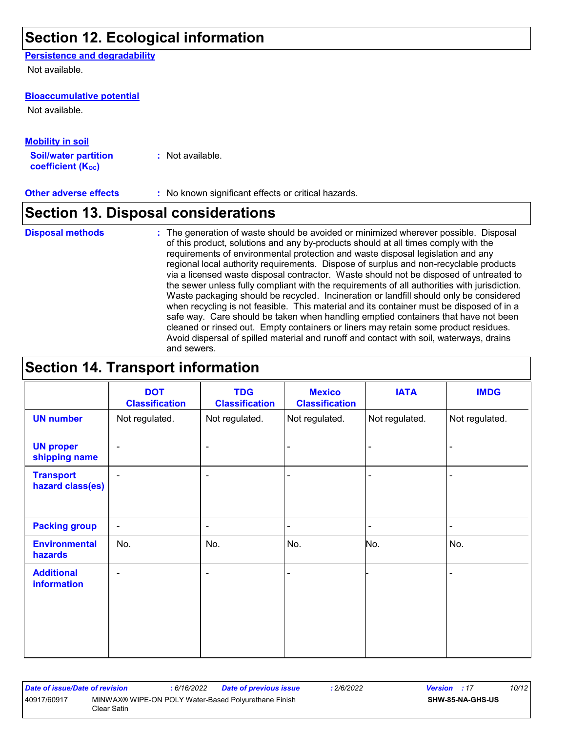## **Section 12. Ecological information**

#### **Persistence and degradability**

Not available.

#### **Bioaccumulative potential**

Not available.

#### **Mobility in soil**

**Soil/water partition coefficient (KOC) :** Not available.

**Other adverse effects** : No known significant effects or critical hazards.

### **Section 13. Disposal considerations**

- **Disposal methods :**
- The generation of waste should be avoided or minimized wherever possible. Disposal of this product, solutions and any by-products should at all times comply with the requirements of environmental protection and waste disposal legislation and any regional local authority requirements. Dispose of surplus and non-recyclable products via a licensed waste disposal contractor. Waste should not be disposed of untreated to the sewer unless fully compliant with the requirements of all authorities with jurisdiction. Waste packaging should be recycled. Incineration or landfill should only be considered when recycling is not feasible. This material and its container must be disposed of in a safe way. Care should be taken when handling emptied containers that have not been cleaned or rinsed out. Empty containers or liners may retain some product residues. Avoid dispersal of spilled material and runoff and contact with soil, waterways, drains and sewers.

## **Section 14. Transport information**

|                                      | <b>DOT</b><br><b>Classification</b> | <b>TDG</b><br><b>Classification</b> | <b>Mexico</b><br><b>Classification</b> | <b>IATA</b>    | <b>IMDG</b>    |
|--------------------------------------|-------------------------------------|-------------------------------------|----------------------------------------|----------------|----------------|
| <b>UN number</b>                     | Not regulated.                      | Not regulated.                      | Not regulated.                         | Not regulated. | Not regulated. |
| <b>UN proper</b><br>shipping name    | $\blacksquare$                      | $\blacksquare$                      | $\blacksquare$                         |                | ٠              |
| <b>Transport</b><br>hazard class(es) | $\overline{a}$                      | $\blacksquare$                      | $\blacksquare$                         | -              | $\blacksquare$ |
| <b>Packing group</b>                 | $\overline{\phantom{a}}$            | $\overline{\phantom{a}}$            | $\blacksquare$                         | $\blacksquare$ | $\blacksquare$ |
| <b>Environmental</b><br>hazards      | No.                                 | No.                                 | No.                                    | No.            | No.            |
| <b>Additional</b><br>information     | $\blacksquare$                      | $\overline{\phantom{a}}$            | $\overline{\phantom{0}}$               |                | $\blacksquare$ |

| Date of issue/Date of revision |              | : 6/16/2022 | <b>Date of previous issue</b>                        | 2/6/2022 | <b>Version</b> : 17 |                         | 10/12 |
|--------------------------------|--------------|-------------|------------------------------------------------------|----------|---------------------|-------------------------|-------|
| 40917/60917                    | Clear Satin_ |             | MINWAX® WIPE-ON POLY Water-Based Polyurethane Finish |          |                     | <b>SHW-85-NA-GHS-US</b> |       |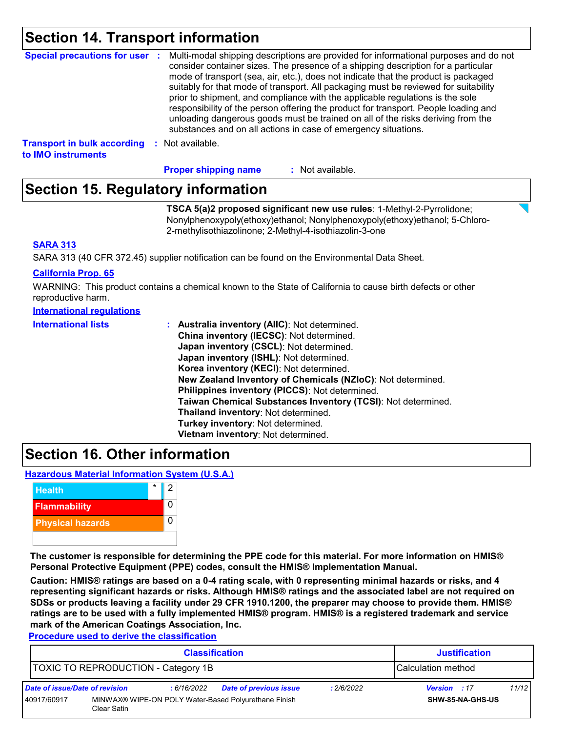## **Section 14. Transport information**

| Special precautions for user :                           | Multi-modal shipping descriptions are provided for informational purposes and do not<br>consider container sizes. The presence of a shipping description for a particular<br>mode of transport (sea, air, etc.), does not indicate that the product is packaged<br>suitably for that mode of transport. All packaging must be reviewed for suitability<br>prior to shipment, and compliance with the applicable regulations is the sole<br>responsibility of the person offering the product for transport. People loading and<br>unloading dangerous goods must be trained on all of the risks deriving from the<br>substances and on all actions in case of emergency situations. |
|----------------------------------------------------------|-------------------------------------------------------------------------------------------------------------------------------------------------------------------------------------------------------------------------------------------------------------------------------------------------------------------------------------------------------------------------------------------------------------------------------------------------------------------------------------------------------------------------------------------------------------------------------------------------------------------------------------------------------------------------------------|
| <b>Transport in bulk according</b><br>to IMO instruments | : Not available.                                                                                                                                                                                                                                                                                                                                                                                                                                                                                                                                                                                                                                                                    |

**Proper shipping name :**

: Not available.

## **Section 15. Regulatory information**

**TSCA 5(a)2 proposed significant new use rules**: 1-Methyl-2-Pyrrolidone; Nonylphenoxypoly(ethoxy)ethanol; Nonylphenoxypoly(ethoxy)ethanol; 5-Chloro-2-methylisothiazolinone; 2-Methyl-4-isothiazolin-3-one

#### **SARA 313**

SARA 313 (40 CFR 372.45) supplier notification can be found on the Environmental Data Sheet.

#### **California Prop. 65**

WARNING: This product contains a chemical known to the State of California to cause birth defects or other reproductive harm.

#### **International regulations**

| <b>International lists</b> | Australia inventory (AllC): Not determined.                  |
|----------------------------|--------------------------------------------------------------|
|                            | China inventory (IECSC): Not determined.                     |
|                            | Japan inventory (CSCL): Not determined.                      |
|                            | Japan inventory (ISHL): Not determined.                      |
|                            | Korea inventory (KECI): Not determined.                      |
|                            | New Zealand Inventory of Chemicals (NZIoC): Not determined.  |
|                            | Philippines inventory (PICCS): Not determined.               |
|                            | Taiwan Chemical Substances Inventory (TCSI): Not determined. |
|                            | Thailand inventory: Not determined.                          |
|                            | Turkey inventory: Not determined.                            |
|                            | Vietnam inventory: Not determined.                           |

### **Section 16. Other information**

**Hazardous Material Information System (U.S.A.)**



**The customer is responsible for determining the PPE code for this material. For more information on HMIS® Personal Protective Equipment (PPE) codes, consult the HMIS® Implementation Manual.**

**Caution: HMIS® ratings are based on a 0-4 rating scale, with 0 representing minimal hazards or risks, and 4 representing significant hazards or risks. Although HMIS® ratings and the associated label are not required on SDSs or products leaving a facility under 29 CFR 1910.1200, the preparer may choose to provide them. HMIS® ratings are to be used with a fully implemented HMIS® program. HMIS® is a registered trademark and service mark of the American Coatings Association, Inc.**

**Procedure used to derive the classification**

| <b>Classification</b>                                            |                                                                     |             |                               |            | <b>Justification</b> |       |
|------------------------------------------------------------------|---------------------------------------------------------------------|-------------|-------------------------------|------------|----------------------|-------|
| <b>TOXIC TO REPRODUCTION - Category 1B</b><br>Calculation method |                                                                     |             |                               |            |                      |       |
| Date of issue/Date of revision                                   |                                                                     | : 6/16/2022 | <b>Date of previous issue</b> | : 2/6/2022 | Version : 17         | 11/12 |
| 40917/60917                                                      | MINWAX® WIPE-ON POLY Water-Based Polyurethane Finish<br>Clear Satin |             |                               |            | SHW-85-NA-GHS-US     |       |